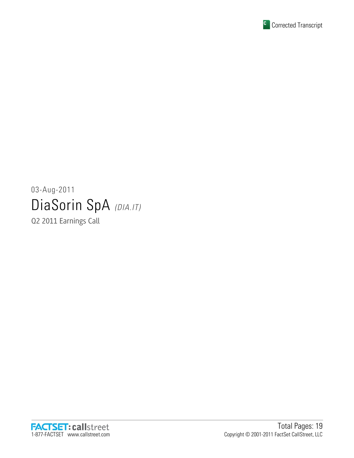

# 03-Aug-2011 DiaSorin SpA (DIA.IT)

Q2 2011 Earnings Call

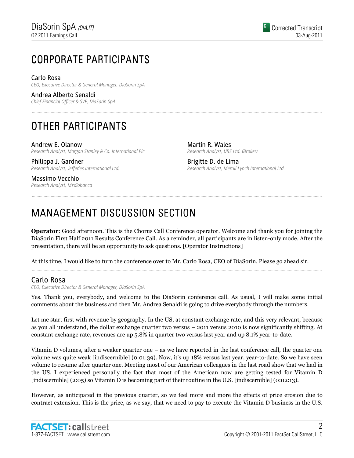# CORPORATE PARTICIPANTS CORPORATE PARTICIPANTS

# Carlo Rosa

CEO, Executive Director & General Manager, DiaSorin SpA

Andrea Alberto Senaldi

Chief Financial Officer & SVP, DiaSorin SpA

# OTHER PARTICIPANTS

Andrew E. Olanow Research Analyst, Morgan Stanley & Co. International Plc

Philippa J. Gardner Research Analyst, Jefferies International Ltd.

Martin R. Wales Research Analyst, UBS Ltd. (Broker)

Brigitte D. de Lima Research Analyst, Merrill Lynch International Ltd.

Massimo Vecchio Research Analyst, Mediobanca

# MANAGEMENT DISCUSSION SECTION

Operator: Good afternoon. This is the Chorus Call Conference operator. Welcome and thank you for joining the DiaSorin First Half 2011 Results Conference Call. As a reminder, all participants are in listen-only mode. After the presentation, there will be an opportunity to ask questions. [Operator Instructions]

......................................................................................................................................................................................................................................................

......................................................................................................................................................................................................................................................

......................................................................................................................................................................................................................................................

At this time, I would like to turn the conference over to Mr. Carlo Rosa, CEO of DiaSorin. Please go ahead sir.

# Carlo Rosa

CEO, Executive Director & General Manager, DiaSorin SpA

Yes. Thank you, everybody, and welcome to the DiaSorin conference call. As usual, I will make some initial comments about the business and then Mr. Andrea Senaldi is going to drive everybody through the numbers.

Let me start first with revenue by geography. In the US, at constant exchange rate, and this very relevant, because as you all understand, the dollar exchange quarter two versus – 2011 versus 2010 is now significantly shifting. At constant exchange rate, revenues are up 5.8% in quarter two versus last year and up 8.1% year-to-date.

Vitamin D volumes, after a weaker quarter one – as we have reported in the last conference call, the quarter one volume was quite weak [indiscernible] (0:01:39). Now, it's up 18% versus last year, year-to-date. So we have seen volume to resume after quarter one. Meeting most of our American colleagues in the last road show that we had in the US, I experienced personally the fact that most of the American now are getting tested for Vitamin D [indiscernible] (2:05) so Vitamin D is becoming part of their routine in the U.S. [indiscernible] (0:02:13).

However, as anticipated in the previous quarter, so we feel more and more the effects of price erosion due to contract extension. This is the price, as we say, that we need to pay to execute the Vitamin D business in the U.S.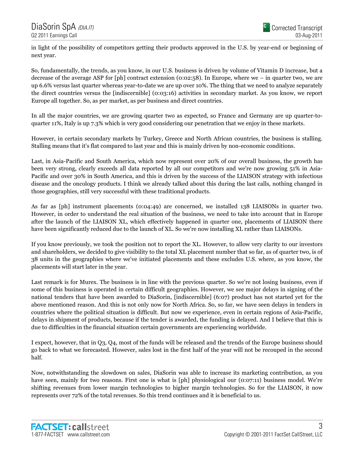in light of the possibility of competitors getting their products approved in the U.S. by year-end or beginning of next year.

So, fundamentally, the trends, as you know, in our U.S. business is driven by volume of Vitamin D increase, but a decrease of the average ASP for [ph] contract extension (0:02:58). In Europe, where we – in quarter two, we are up 6.6% versus last quarter whereas year-to-date we are up over 10%. The thing that we need to analyze separately the direct countries versus the [indiscernible] (0:03:16) activities in secondary market. As you know, we report Europe all together. So, as per market, as per business and direct countries.

In all the major countries, we are growing quarter two as expected, so France and Germany are up quarter-toquarter 11%, Italy is up 7.3% which is very good considering our penetration that we enjoy in these markets.

However, in certain secondary markets by Turkey, Greece and North African countries, the business is stalling. Stalling means that it's flat compared to last year and this is mainly driven by non-economic conditions.

Last, in Asia-Pacific and South America, which now represent over 20% of our overall business, the growth has been very strong, clearly exceeds all data reported by all our competitors and we're now growing 51% in Asia-Pacific and over 30% in South America, and this is driven by the success of the LIAISON strategy with infectious disease and the oncology products. I think we already talked about this during the last calls, nothing changed in those geographies, still very successful with these traditional products.

As far as [ph] instrument placements (0:04:49) are concerned, we installed 138 LIAISONs in quarter two. However, in order to understand the real situation of the business, we need to take into account that in Europe after the launch of the LIAISON XL, which effectively happened in quarter one, placements of LIAISON there have been significantly reduced due to the launch of XL. So we're now installing XL rather than LIAISONs.

If you know previously, we took the position not to report the XL. However, to allow very clarity to our investors and shareholders, we decided to give visibility to the total XL placement number that so far, as of quarter two, is of 38 units in the geographies where we've initiated placements and these excludes U.S. where, as you know, the placements will start later in the year.

Last remark is for Murex. The business is in line with the previous quarter. So we're not losing business, even if some of this business is operated in certain difficult geographies. However, we see major delays in signing of the national tenders that have been awarded to DiaSorin, [indiscernible] (6:07) product has not started yet for the above mentioned reason. And this is not only now for North Africa. So, so far, we have seen delays in tenders in countries where the political situation is difficult. But now we experience, even in certain regions of Asia-Pacific, delays in shipment of products, because if the tender is awarded, the funding is delayed. And I believe that this is due to difficulties in the financial situation certain governments are experiencing worldwide.

I expect, however, that in Q3, Q4, most of the funds will be released and the trends of the Europe business should go back to what we forecasted. However, sales lost in the first half of the year will not be recouped in the second half.

Now, notwithstanding the slowdown on sales, DiaSorin was able to increase its marketing contribution, as you have seen, mainly for two reasons. First one is what is [ph] physiological our (0:07:11) business model. We're shifting revenues from lower margin technologies to higher margin technologies. So for the LIAISON, it now represents over 72% of the total revenues. So this trend continues and it is beneficial to us.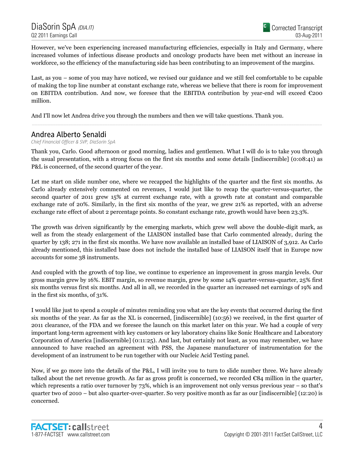However, we've been experiencing increased manufacturing efficiencies, especially in Italy and Germany, where increased volumes of infectious disease products and oncology products have been met without an increase in workforce, so the efficiency of the manufacturing side has been contributing to an improvement of the margins.

Last, as you – some of you may have noticed, we revised our guidance and we still feel comfortable to be capable of making the top line number at constant exchange rate, whereas we believe that there is room for improvement on EBITDA contribution. And now, we foresee that the EBITDA contribution by year-end will exceed  $\epsilon_{200}$ million.

......................................................................................................................................................................................................................................................

And I'll now let Andrea drive you through the numbers and then we will take questions. Thank you.

### Andrea Alberto Senaldi

Chief Financial Officer & SVP, DiaSorin SpA

Thank you, Carlo. Good afternoon or good morning, ladies and gentlemen. What I will do is to take you through the usual presentation, with a strong focus on the first six months and some details [indiscernible] (0:08:41) as P&L is concerned, of the second quarter of the year.

Let me start on slide number one, where we recapped the highlights of the quarter and the first six months. As Carlo already extensively commented on revenues, I would just like to recap the quarter-versus-quarter, the second quarter of 2011 grew 15% at current exchange rate, with a growth rate at constant and comparable exchange rate of 20%. Similarly, in the first six months of the year, we grew 21% as reported, with an adverse exchange rate effect of about 2 percentage points. So constant exchange rate, growth would have been 23.3%.

The growth was driven significantly by the emerging markets, which grew well above the double-digit mark, as well as from the steady enlargement of the LIAISON installed base that Carlo commented already, during the quarter by 138; 271 in the first six months. We have now available an installed base of LIAISON of 3,912. As Carlo already mentioned, this installed base does not include the installed base of LIAISON itself that in Europe now accounts for some 38 instruments.

And coupled with the growth of top line, we continue to experience an improvement in gross margin levels. Our gross margin grew by 16%. EBIT margin, so revenue margin, grew by some 14% quarter-versus-quarter, 25% first six months versus first six months. And all in all, we recorded in the quarter an increased net earnings of 19% and in the first six months, of 31%.

I would like just to spend a couple of minutes reminding you what are the key events that occurred during the first six months of the year. As far as the XL is concerned, [indiscernible] (10:56) we received, in the first quarter of 2011 clearance, of the FDA and we foresee the launch on this market later on this year. We had a couple of very important long-term agreement with key customers or key laboratory chains like Sonic Healthcare and Laboratory Corporation of America [indiscernible] (0:11:25). And last, but certainly not least, as you may remember, we have announced to have reached an agreement with PSS, the Japanese manufacturer of instrumentation for the development of an instrument to be run together with our Nucleic Acid Testing panel.

Now, if we go more into the details of the P&L, I will invite you to turn to slide number three. We have already talked about the net revenue growth. As far as gross profit is concerned, we recorded  $\epsilon$ 84 million in the quarter, which represents a ratio over turnover by 73%, which is an improvement not only versus previous year – so that's quarter two of 2010 – but also quarter-over-quarter. So very positive month as far as our [indiscernible] (12:20) is concerned.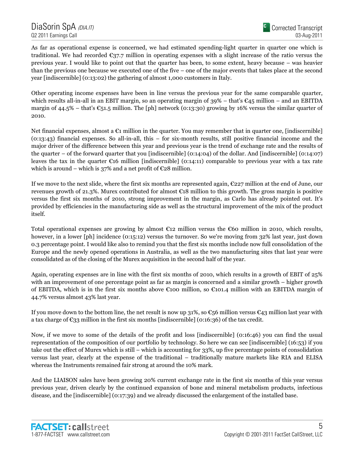As far as operational expense is concerned, we had estimated spending-light quarter in quarter one which is traditional. We had recorded  $\epsilon_{37.7}$  million in operating expenses with a slight increase of the ratio versus the previous year. I would like to point out that the quarter has been, to some extent, heavy because – was heavier than the previous one because we executed one of the five – one of the major events that takes place at the second year [indiscernible] (0:13:02) the gathering of almost 1,000 customers in Italy.

Other operating income expenses have been in line versus the previous year for the same comparable quarter, which results all-in-all in an EBIT margin, so an operating margin of  $39\%$  – that's  $\epsilon_{45}$  million – and an EBITDA margin of 44.5% – that's  $\epsilon$ 51.5 million. The [ph] network (0:13:30) growing by 16% versus the similar quarter of 2010.

Net financial expenses, almost a  $\epsilon_1$  million in the quarter. You may remember that in quarter one, [indiscernible] (0:13:43) financial expenses. So all-in-all, this – for six-month results, still positive financial income and the major driver of the difference between this year and previous year is the trend of exchange rate and the results of the quarter – of the forward quarter that you [indiscernible] (0:14:04) of the dollar. And [indiscernible] (0:14:07) leaves the tax in the quarter  $\epsilon$ 16 million [indiscernible] (0:14:11) comparable to previous year with a tax rate which is around – which is 37% and a net profit of  $\epsilon$ 28 million.

If we move to the next slide, where the first six months are represented again,  $\epsilon$ 227 million at the end of June, our revenues growth of 21.3%. Murex contributed for almost €18 million to this growth. The gross margin is positive versus the first six months of 2010, strong improvement in the margin, as Carlo has already pointed out. It's provided by efficiencies in the manufacturing side as well as the structural improvement of the mix of the product itself.

Total operational expenses are growing by almost  $\epsilon_{12}$  million versus the  $\epsilon_{60}$  million in 2010, which results, however, in a lower [ph] incidence (0:15:12) versus the turnover. So we're moving from 32% last year, just down 0.3 percentage point. I would like also to remind you that the first six months include now full consolidation of the Europe and the newly opened operations in Australia, as well as the two manufacturing sites that last year were consolidated as of the closing of the Murex acquisition in the second half of the year.

Again, operating expenses are in line with the first six months of 2010, which results in a growth of EBIT of 25% with an improvement of one percentage point as far as margin is concerned and a similar growth – higher growth of EBITDA, which is in the first six months above  $\epsilon$ 100 million, so  $\epsilon$ 101.4 million with an EBITDA margin of 44.7% versus almost 43% last year.

If you move down to the bottom line, the net result is now up 31%, so  $\mathfrak{C}_5$ 6 million versus  $\mathfrak{C}_4$ 3 million last year with a tax charge of  $\mathfrak{C}_{33}$  million in the first six months [indiscernible] (0:16:36) of the tax credit.

Now, if we move to some of the details of the profit and loss [indiscernible] (0:16:46) you can find the usual representation of the composition of our portfolio by technology. So here we can see [indiscernible] (16:53) if you take out the effect of Murex which is still – which is accounting for 33%, up five percentage points of consolidation versus last year, clearly at the expense of the traditional – traditionally mature markets like RIA and ELISA whereas the Instruments remained fair strong at around the 10% mark.

And the LIAISON sales have been growing 20% current exchange rate in the first six months of this year versus previous year, driven clearly by the continued expansion of bone and mineral metabolism products, infectious disease, and the [indiscernible] (0:17:39) and we already discussed the enlargement of the installed base.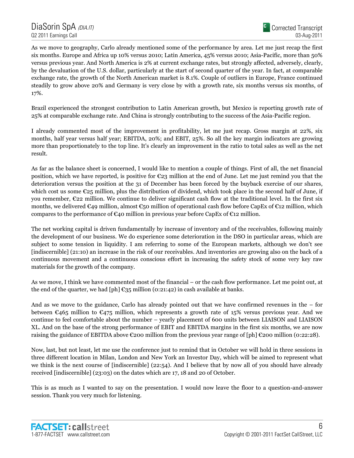As we move to geography, Carlo already mentioned some of the performance by area. Let me just recap the first six months. Europe and Africa up 10% versus 2010; Latin America, 45% versus 2010; Asia-Pacific, more than 50% versus previous year. And North America is 2% at current exchange rates, but strongly affected, adversely, clearly, by the devaluation of the U.S. dollar, particularly at the start of second quarter of the year. In fact, at comparable exchange rate, the growth of the North American market is 8.1%. Couple of outliers in Europe, France continued steadily to grow above 20% and Germany is very close by with a growth rate, six months versus six months, of 17%.

Brazil experienced the strongest contribution to Latin American growth, but Mexico is reporting growth rate of 25% at comparable exchange rate. And China is strongly contributing to the success of the Asia-Pacific region.

I already commented most of the improvement in profitability, let me just recap. Gross margin at 22%, six months, half year versus half year; EBITDA, 20%; and EBIT, 25%. So all the key margin indicators are growing more than proportionately to the top line. It's clearly an improvement in the ratio to total sales as well as the net result.

As far as the balance sheet is concerned, I would like to mention a couple of things. First of all, the net financial position, which we have reported, is positive for €23 million at the end of June. Let me just remind you that the deterioration versus the position at the 31 of December has been forced by the buyback exercise of our shares, which cost us some  $\epsilon_{25}$  million, plus the distribution of dividend, which took place in the second half of June, if you remember, €22 million. We continue to deliver significant cash flow at the traditional level. In the first six months, we delivered  $\mathfrak{C}_4$ 9 million, almost  $\mathfrak{C}_5$ 0 million of operational cash flow before CapEx of  $\mathfrak{C}_1$ 2 million, which compares to the performance of  $\epsilon_{40}$  million in previous year before CapEx of  $\epsilon_{12}$  million.

The net working capital is driven fundamentally by increase of inventory and of the receivables, following mainly the development of our business. We do experience some deterioration in the DSO in particular areas, which are subject to some tension in liquidity. I am referring to some of the European markets, although we don't see [indiscernible] (21:10) an increase in the risk of our receivables. And inventories are growing also on the back of a continuous movement and a continuous conscious effort in increasing the safety stock of some very key raw materials for the growth of the company.

As we move, I think we have commented most of the financial – or the cash flow performance. Let me point out, at the end of the quarter, we had [ph]  $\epsilon_{35}$  million (0:21:42) in cash available at banks.

And as we move to the guidance, Carlo has already pointed out that we have confirmed revenues in the – for between  $\epsilon$ 465 million to  $\epsilon$ 475 million, which represents a growth rate of 15% versus previous year. And we continue to feel comfortable about the number – yearly placement of 600 units between LIAISON and LIAISON XL. And on the base of the strong performance of EBIT and EBITDA margins in the first six months, we are now raising the guidance of EBITDA above  $\epsilon$ 200 million from the previous year range of [ph]  $\epsilon$ 200 million (0:22:28).

Now, last, but not least, let me use the conference just to remind that in October we will hold in three sessions in three different location in Milan, London and New York an Investor Day, which will be aimed to represent what we think is the next course of [indiscernible] (22:54). And I believe that by now all of you should have already received [indiscernible] (23:03) on the dates which are 17, 18 and 20 of October.

This is as much as I wanted to say on the presentation. I would now leave the floor to a question-and-answer session. Thank you very much for listening.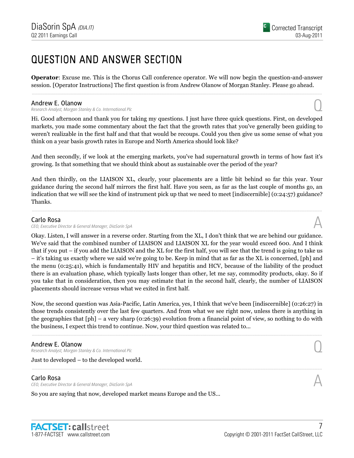# QUESTION AND ANSWER SECTION

Operator: Excuse me. This is the Chorus Call conference operator. We will now begin the question-and-answer session. [Operator Instructions] The first question is from Andrew Olanow of Morgan Stanley. Please go ahead. ......................................................................................................................................................................................................................................................

#### Andrew E. Olanow

Research Analyst, Morgan Stanley & Co. International Plc Q

Hi. Good afternoon and thank you for taking my questions. I just have three quick questions. First, on developed markets, you made some commentary about the fact that the growth rates that you've generally been guiding to weren't realizable in the first half and that that would be recoups. Could you then give us some sense of what you think on a year basis growth rates in Europe and North America should look like?

And then secondly, if we look at the emerging markets, you've had supernatural growth in terms of how fast it's growing. Is that something that we should think about as sustainable over the period of the year?

And then thirdly, on the LIAISON XL, clearly, your placements are a little bit behind so far this year. Your guidance during the second half mirrors the first half. Have you seen, as far as the last couple of months go, an indication that we will see the kind of instrument pick up that we need to meet [indiscernible] (0:24:57) guidance? Thanks.

......................................................................................................................................................................................................................................................

#### Carlo Rosa

CEO, Executive Director & General Manager, DiaSorin SpA

Okay. Listen, I will answer in a reverse order. Starting from the XL, I don't think that we are behind our guidance. We've said that the combined number of LIAISON and LIAISON XL for the year would exceed 600. And I think that if you put – if you add the LIAISON and the XL for the first half, you will see that the trend is going to take us – it's taking us exactly where we said we're going to be. Keep in mind that as far as the XL is concerned, [ph] and the menu (0:25:41), which is fundamentally HIV and hepatitis and HCV, because of the liability of the product there is an evaluation phase, which typically lasts longer than other, let me say, commodity products, okay. So if you take that in consideration, then you may estimate that in the second half, clearly, the number of LIAISON placements should increase versus what we exited in first half.

Now, the second question was Asia-Pacific, Latin America, yes, I think that we've been [indiscernible] (0:26:27) in those trends consistently over the last few quarters. And from what we see right now, unless there is anything in the geographies that [ph] – a very sharp (0:26:39) evolution from a financial point of view, so nothing to do with the business, I expect this trend to continue. Now, your third question was related to...

......................................................................................................................................................................................................................................................

......................................................................................................................................................................................................................................................

#### Andrew E. Olanow

Research Analyst, Morgan Stanley & Co. International Plc Q

Just to developed – to the developed world.

# Carlo Rosa

CEO, Executive Director & General Manager, DiaSorin SpA

So you are saying that now, developed market means Europe and the US...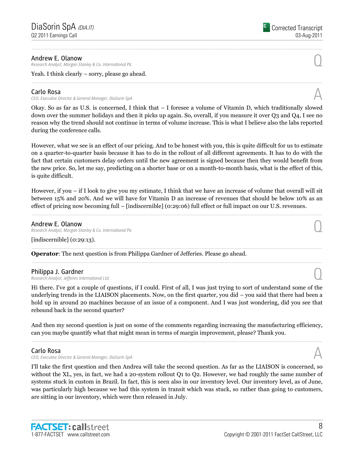#### Andrew E. Olanow

Research Analyst, Morgan Stanley & Co. International Plc Q

Yeah. I think clearly – sorry, please go ahead.

# Carlo Rosa

CEO, Executive Director & General Manager, DiaSorin SpA

Okay. So as far as U.S. is concerned, I think that – I foresee a volume of Vitamin D, which traditionally slowed down over the summer holidays and then it picks up again. So, overall, if you measure it over Q3 and Q4, I see no reason why the trend should not continue in terms of volume increase. This is what I believe also the labs reported during the conference calls.

......................................................................................................................................................................................................................................................

......................................................................................................................................................................................................................................................

However, what we see is an effect of our pricing. And to be honest with you, this is quite difficult for us to estimate on a quarter-to-quarter basis because it has to do in the rollout of all different agreements. It has to do with the fact that certain customers delay orders until the new agreement is signed because then they would benefit from the new price. So, let me say, predicting on a shorter base or on a month-to-month basis, what is the effect of this, is quite difficult.

However, if you – if I look to give you my estimate, I think that we have an increase of volume that overall will sit between 15% and 20%. And we will have for Vitamin D an increase of revenues that should be below 10% as an effect of pricing now becoming full – [indiscernible] (0:29:06) full effect or full impact on our U.S. revenues.

......................................................................................................................................................................................................................................................

......................................................................................................................................................................................................................................................

......................................................................................................................................................................................................................................................

### Andrew E. Olanow

Research Analyst, Morgan Stanley & Co. International Plc Q

[indiscernible] (0:29:13).

Operator: The next question is from Philippa Gardner of Jefferies. Please go ahead.

Philippa J. Gardner<br>Research Analyst, Jefferies International Ltd. Philippa J. Gardner<br>Research Analyst, Jefferies International Ltd. Quantum and the Control of the Control of the Control of the Co

Hi there. I've got a couple of questions, if I could. First of all, I was just trying to sort of understand some of the underlying trends in the LIAISON placements. Now, on the first quarter, you did – you said that there had been a hold up in around 20 machines because of an issue of a component. And I was just wondering, did you see that rebound back in the second quarter?

And then my second question is just on some of the comments regarding increasing the manufacturing efficiency, can you maybe quantify what that might mean in terms of margin improvement, please? Thank you. ......................................................................................................................................................................................................................................................

### Carlo Rosa

CEO, Executive Director & General Manager, DiaSorin SpA

I'll take the first question and then Andrea will take the second question. As far as the LIAISON is concerned, so without the XL, yes, in fact, we had a 20-system rollout Q1 to Q2. However, we had roughly the same number of systems stuck in custom in Brazil. In fact, this is seen also in our inventory level. Our inventory level, as of June, was particularly high because we had this system in transit which was stuck, so rather than going to customers, are sitting in our inventory, which were then released in July.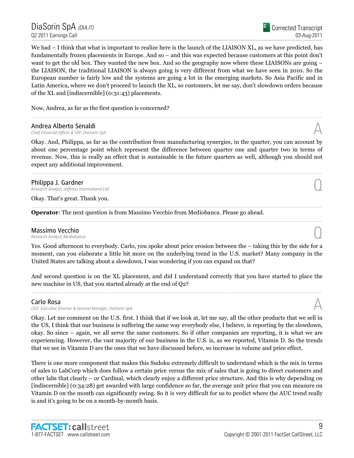We had  $-1$  think that what is important to realize here is the launch of the LIAISON XL, as we have predicted, has fundamentally frozen placements in Europe. And so – and this was expected because customers at this point don't want to get the old box. They wanted the new box. And so the geography now where these LIAISONs are going – the LIAISON, the traditional LIAISON is always going is very different from what we have seen in 2010. So the European number is fairly low and the systems are going a lot in the emerging markets. So Asia Pacific and in Latin America, where we don't proceed to launch the XL, so customers, let me say, don't slowdown orders because of the XL and [indiscernible] (0:31:43) placements.

Now, Andrea, as far as the first question is concerned?

**Andrea Alberto Senaldi**<br>Chief Financial Officer & SVP, DiaSorin SpA Andrea Alberto Senaldi<br>Chief Financial Officer & SVP, DiaSorin SpA  $\triangle$ 

Okay. And, Philippa, as far as the contribution from manufacturing synergies, in the quarter, you can account by about one percentage point which represent the difference between quarter one and quarter two in terms of revenue. Now, this is really an effect that is sustainable in the future quarters as well, although you should not expect any additional improvement.

......................................................................................................................................................................................................................................................

......................................................................................................................................................................................................................................................

......................................................................................................................................................................................................................................................

......................................................................................................................................................................................................................................................

Philippa J. Gardner<br>Research Analyst, Jefferies International Ltd. **Philippa J. Gardner**<br>Research Analyst, Jefferies International Ltd.  $\bigcup$ 

Okay. That's great. Thank you.

Operator: The next question is from Massimo Vecchio from Mediobanca. Please go ahead.

# **Massimo Vecchio**<br>Research Analyst, Mediobanca **Massimo Vecchio**<br>Research Analyst, Mediobanca

Yes. Good afternoon to everybody. Carlo, you spoke about price erosion between the – taking this by the side for a moment, can you elaborate a little bit more on the underlying trend in the U.S. market? Many company in the United States are talking about a slowdown, I was wondering if you can expand on that?

And second question is on the XL placement, and did I understand correctly that you have started to place the new machine in US, that you started already at the end of Q2? ......................................................................................................................................................................................................................................................

# Carlo Rosa

CEO, Executive Director & General Manager, DiaSorin SpA

Okay. Let me comment on the U.S. first. I think that if we look at, let me say, all the other products that we sell in the US, I think that our business is suffering the same way everybody else, I believe, is reporting by the slowdown, okay. So since – again, we all serve the same customers. So if other companies are reporting, it is what we are experiencing. However, the vast majority of our business in the U.S. is, as we reported, Vitamin D. So the trends that we see in Vitamin D are the ones that we have discussed before, so increase in volume and price effect.

There is one more component that makes this Sudoku extremely difficult to understand which is the mix in terms of sales to LabCorp which does follow a certain price versus the mix of sales that is going to direct customers and other labs that clearly – or Cardinal, which clearly enjoy a different price structure. And this is why depending on [indiscernible] (0:34:28) get awarded with large confidence so far, the average unit price that you can measure on Vitamin D on the month can significantly swing. So it is very difficult for us to predict where the AUC trend really is and it's going to be on a month-by-month basis.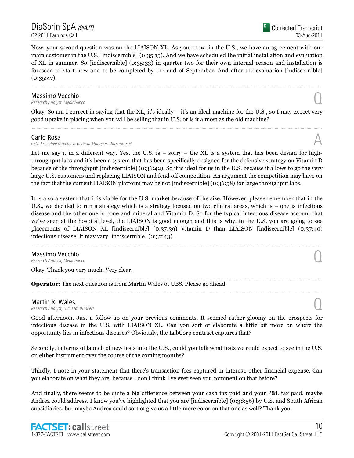Now, your second question was on the LIAISON XL. As you know, in the U.S., we have an agreement with our main customer in the U.S. [indiscernible] (0:35:15). And we have scheduled the initial installation and evaluation of XL in summer. So [indiscernible] (0:35:33) in quarter two for their own internal reason and installation is foreseen to start now and to be completed by the end of September. And after the evaluation [indiscernible]  $(0:35:47)$ .

......................................................................................................................................................................................................................................................

# **Massimo Vecchio**<br>Research Analyst, Mediobanca **Massimo Vecchio**<br>Research Analyst, Mediobanca

Okay. So am I correct in saying that the XL, it's ideally – it's an ideal machine for the U.S., so I may expect very good uptake in placing when you will be selling that in U.S. or is it almost as the old machine? ......................................................................................................................................................................................................................................................

#### Carlo Rosa

CEO, Executive Director & General Manager, DiaSorin SpA

Let me say it in a different way. Yes, the U.S. is  $-$  sorry  $-$  the XL is a system that has been design for highthroughput labs and it's been a system that has been specifically designed for the defensive strategy on Vitamin D because of the throughput [indiscernible] (0:36:42). So it is ideal for us in the U.S. because it allows to go the very large U.S. customers and replacing LIAISON and fend off competition. An argument the competition may have on the fact that the current LIAISON platform may be not [indiscernible] (0:36:58) for large throughput labs.

It is also a system that it is viable for the U.S. market because of the size. However, please remember that in the U.S., we decided to run a strategy which is a strategy focused on two clinical areas, which is – one is infectious disease and the other one is bone and mineral and Vitamin D. So for the typical infectious disease account that we've seen at the hospital level, the LIAISON is good enough and this is why, in the U.S. you are going to see placements of LIAISON XL [indiscernible] (0:37:39) Vitamin D than LIAISON [indiscernible] (0:37:40) infectious disease. It may vary [indiscernible] (0:37:43). ......................................................................................................................................................................................................................................................

# **Massimo Vecchio**<br>Research Analyst, Mediobanca **Massimo Vecchio**<br>Research Analyst, Mediobanca

Okay. Thank you very much. Very clear.

Operator: The next question is from Martin Wales of UBS. Please go ahead.

**Martin R. Wales**<br>Research Analyst, UBS Ltd. (Broker) **Martin R. Wales**  $\bigodot$ <br>Research Analyst, UBS Ltd. (Broker)

Good afternoon. Just a follow-up on your previous comments. It seemed rather gloomy on the prospects for infectious disease in the U.S. with LIAISON XL. Can you sort of elaborate a little bit more on where the opportunity lies in infectious diseases? Obviously, the LabCorp contract captures that?

......................................................................................................................................................................................................................................................

......................................................................................................................................................................................................................................................

Secondly, in terms of launch of new tests into the U.S., could you talk what tests we could expect to see in the U.S. on either instrument over the course of the coming months?

Thirdly, I note in your statement that there's transaction fees captured in interest, other financial expense. Can you elaborate on what they are, because I don't think I've ever seen you comment on that before?

And finally, there seems to be quite a big difference between your cash tax paid and your P&L tax paid, maybe Andrea could address. I know you've highlighted that you are [indiscernible] (0:38:56) by U.S. and South African subsidiaries, but maybe Andrea could sort of give us a little more color on that one as well? Thank you.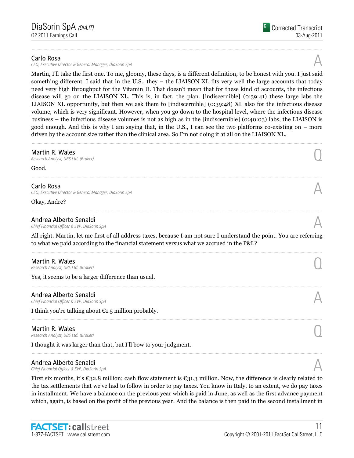#### Carlo Rosa

CEO, Executive Director & General Manager, DiaSorin SpA

Martin, I'll take the first one. To me, gloomy, these days, is a different definition, to be honest with you. I just said something different. I said that in the U.S., they – the LIAISON XL fits very well the large accounts that today need very high throughput for the Vitamin D. That doesn't mean that for these kind of accounts, the infectious disease will go on the LIAISON XL. This is, in fact, the plan. [indiscernible] (0:39:41) these large labs the LIAISON XL opportunity, but then we ask them to [indiscernible] (0:39:48) XL also for the infectious disease volume, which is very significant. However, when you go down to the hospital level, where the infectious disease business – the infectious disease volumes is not as high as in the [indiscernible] (0:40:03) labs, the LIAISON is good enough. And this is why I am saying that, in the U.S., I can see the two platforms co-existing on – more driven by the account size rather than the clinical area. So I'm not doing it at all on the LIAISON XL.

......................................................................................................................................................................................................................................................

| Martin R. Wales<br>Research Analyst, UBS Ltd. (Broker)                                                                                                                                                           |  |
|------------------------------------------------------------------------------------------------------------------------------------------------------------------------------------------------------------------|--|
| Good.                                                                                                                                                                                                            |  |
| Carlo Rosa<br>CEO, Executive Director & General Manager, DiaSorin SpA                                                                                                                                            |  |
| Okay, Andre?                                                                                                                                                                                                     |  |
| Andrea Alberto Senaldi<br>Chief Financial Officer & SVP, DiaSorin SpA                                                                                                                                            |  |
| All right. Martin, let me first of all address taxes, because I am not sure I understand the point. You are referring<br>to what we paid according to the financial statement versus what we accrued in the P&L? |  |
| Martin R. Wales<br>Research Analyst, UBS Ltd. (Broker)                                                                                                                                                           |  |
| Yes, it seems to be a larger difference than usual.                                                                                                                                                              |  |
| Andrea Alberto Senaldi<br>Chief Financial Officer & SVP, DiaSorin SpA                                                                                                                                            |  |
| I think you're talking about $\epsilon_{1.5}$ million probably.                                                                                                                                                  |  |
| Martin R. Wales<br>Research Analyst, UBS Ltd. (Broker)                                                                                                                                                           |  |

I thought it was larger than that, but I'll bow to your judgment.

# Andrea Alberto Senaldi<br>Chief Financial Officer & SVP, DiaSorin SpA Andrea Alberto Senaldi<br>Chief Financial Officer & SVP, DiaSorin SpA  $\triangle$

First six months, it's  $\epsilon$ 32.8 million; cash flow statement is  $\epsilon$ 31.3 million. Now, the difference is clearly related to the tax settlements that we've had to follow in order to pay taxes. You know in Italy, to an extent, we do pay taxes in installment. We have a balance on the previous year which is paid in June, as well as the first advance payment which, again, is based on the profit of the previous year. And the balance is then paid in the second installment in

......................................................................................................................................................................................................................................................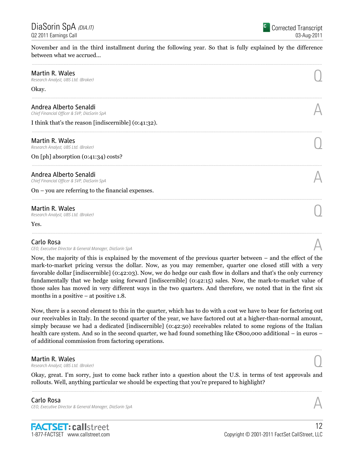DiaSorin SpA <sub>(DIA.IT)</sub> Q2 2011 Earnings Call

November and in the third installment during the following year. So that is fully explained by the difference between what we accrued...

| Martin R. Wales<br>Research Analyst, UBS Ltd. (Broker)                |  |
|-----------------------------------------------------------------------|--|
| Okay.                                                                 |  |
| Andrea Alberto Senaldi<br>Chief Financial Officer & SVP, DiaSorin SpA |  |
| I think that's the reason [indiscernible] (0:41:32).                  |  |
| Martin R. Wales<br>Research Analyst, UBS Ltd. (Broker)                |  |
| On [ph] absorption (0:41:34) costs?                                   |  |
| Andrea Alberto Senaldi<br>Chief Financial Officer & SVP, DiaSorin SpA |  |
| On – you are referring to the financial expenses.                     |  |
| Martin R. Wales<br>Research Analyst, UBS Ltd. (Broker)                |  |
| Yes.                                                                  |  |
| Carlo Doca                                                            |  |

#### Carlo Rosa

CEO, Executive Director & General Manager, DiaSorin SpA Annual CEO, Executive Director & General Manager, DiaSorin SpA Annual CEO, Executive Director & General Manager, DiaSorin SpA

Now, the majority of this is explained by the movement of the previous quarter between – and the effect of the mark-to-market pricing versus the dollar. Now, as you may remember, quarter one closed still with a very favorable dollar [indiscernible] (0:42:03). Now, we do hedge our cash flow in dollars and that's the only currency fundamentally that we hedge using forward [indiscernible] (0:42:15) sales. Now, the mark-to-market value of those sales has moved in very different ways in the two quarters. And therefore, we noted that in the first six months in a positive – at positive 1.8.

Now, there is a second element to this in the quarter, which has to do with a cost we have to bear for factoring out our receivables in Italy. In the second quarter of the year, we have factored out at a higher-than-normal amount, simply because we had a dedicated [indiscernible] (0:42:50) receivables related to some regions of the Italian health care system. And so in the second quarter, we had found something like €800,000 additional – in euros – of additional commission from factoring operations.

......................................................................................................................................................................................................................................................

**Martin R. Wales**<br>Research Analyst, UBS Ltd. (Broker) **Martin R. Wales**  $\bigodot$ <br>Research Analyst, UBS Ltd. (Broker)

Okay, great. I'm sorry, just to come back rather into a question about the U.S. in terms of test approvals and rollouts. Well, anything particular we should be expecting that you're prepared to highlight? ......................................................................................................................................................................................................................................................

#### Carlo Rosa CEO, Executive Director & General Manager, DiaSorin SpA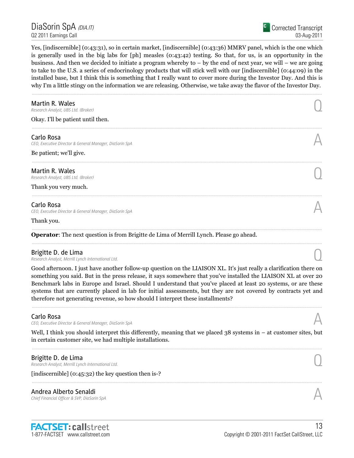Yes, [indiscernible] (0:43:31), so in certain market, [indiscernible] (0:43:36) MMRV panel, which is the one which is generally used in the big labs for [ph] measles (0:43:42) testing. So that, for us, is an opportunity in the business. And then we decided to initiate a program whereby to – by the end of next year, we will – we are going to take to the U.S. a series of endocrinology products that will stick well with our [indiscernible] (0:44:09) in the installed base, but I think this is something that I really want to cover more during the Investor Day. And this is why I'm a little stingy on the information we are releasing. Otherwise, we take away the flavor of the Investor Day.

| Martin R. Wales<br>Research Analyst, UBS Ltd. (Broker)                                         |  |
|------------------------------------------------------------------------------------------------|--|
| Okay. I'll be patient until then.                                                              |  |
| Carlo Rosa<br>CEO, Executive Director & General Manager, DiaSorin SpA                          |  |
| Be patient; we'll give.                                                                        |  |
| Martin R. Wales<br>Research Analyst, UBS Ltd. (Broker)                                         |  |
| Thank you very much.                                                                           |  |
| Carlo Rosa<br>CEO, Executive Director & General Manager, DiaSorin SpA                          |  |
| Thank you.                                                                                     |  |
| <b>Operator:</b> The next question is from Brigitte de Lima of Merrill Lynch. Please go ahead. |  |
| Brigitte D. de Lima<br>Research Analyst, Merrill Lynch International Ltd.                      |  |

Good afternoon. I just have another follow-up question on the LIAISON XL. It's just really a clarification there on something you said. But in the press release, it says somewhere that you've installed the LIAISON XL at over 20 Benchmark labs in Europe and Israel. Should I understand that you've placed at least 20 systems, or are these systems that are currently placed in lab for initial assessments, but they are not covered by contracts yet and therefore not generating revenue, so how should I interpret these installments?

......................................................................................................................................................................................................................................................

#### Carlo Rosa

CEO, Executive Director & General Manager, DiaSorin SpA

Well, I think you should interpret this differently, meaning that we placed 38 systems in – at customer sites, but in certain customer site, we had multiple installations. ......................................................................................................................................................................................................................................................

......................................................................................................................................................................................................................................................

**Brigitte D. de Lima**<br>Research Analyst, Merrill Lynch International Ltd. **Brigitte D. de Lima**  $\bigcup_{\text{Research Analysis, } \text{Merrill Lynch International Ltd.}}$ 

[indiscernible] (0:45:32) the key question then is-?

# Andrea Alberto Senaldi<br>Chief Financial Officer & SVP, DiaSorin SpA Andrea Alberto Senaldi<br>Chief Financial Officer & SVP, DiaSorin SpA  $\mathcal A$

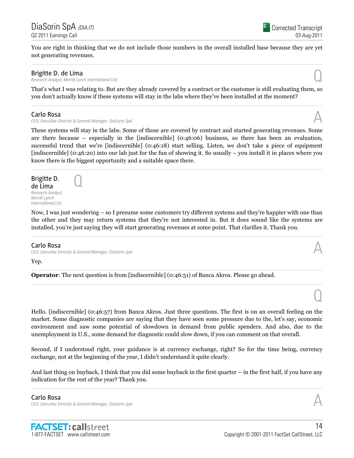You are right in thinking that we do not include those numbers in the overall installed base because they are yet not generating revenues. ......................................................................................................................................................................................................................................................

### Brigitte D. de Lima

Research Analyst, Merrill Lynch International Ltd. Q

That's what I was relating to. But are they already covered by a contract or the customer is still evaluating them, so you don't actually know if these systems will stay in the labs where they've been installed at the moment? ......................................................................................................................................................................................................................................................

#### Carlo Rosa

CEO, Executive Director & General Manager, DiaSorin SpA

 $\overline{O}$ 

These systems will stay in the labs. Some of those are covered by contract and started generating revenues. Some are there because – especially in the [indiscernible] (0:46:06) business, so there has been an evaluation, successful trend that we're [indiscernible] (0:46:18) start selling. Listen, we don't take a piece of equipment [indiscernible] (0:46:20) into our lab just for the fun of showing it. So usually – you install it in places where you know there is the biggest opportunity and a suitable space there.

......................................................................................................................................................................................................................................................

Brigitte D. de Lima Research Analyst, Merrill Lynch International Ltd.

Now, I was just wondering – so I presume some customers try different systems and they're happier with one than the other and they may return systems that they're not interested in. But it does sound like the systems are installed, you're just saying they will start generating revenues at some point. That clarifies it. Thank you.

......................................................................................................................................................................................................................................................

......................................................................................................................................................................................................................................................

# Carlo Rosa

CEO, Executive Director & General Manager, DiaSorin SpA A

Yep.

Operator: The next question is from [indiscernible] (0:46:51) of Banca Akros. Please go ahead.

Hello. [indiscernible] (0:46:57) from Banca Akros. Just three questions. The first is on an overall feeling on the market. Some diagnostic companies are saying that they have seen some pressure due to the, let's say, economic environment and saw some potential of slowdown in demand from public spenders. And also, due to the unemployment in U.S., some demand for diagnostic could slow down, if you can comment on that overall.

Second, if I understood right, your guidance is at currency exchange, right? So for the time being, currency exchange, not at the beginning of the year, I didn't understand it quite clearly.

And last thing on buyback, I think that you did some buyback in the first quarter – in the first half, if you have any indication for the rest of the year? Thank you. ......................................................................................................................................................................................................................................................

1-877-FACTSET www.callstreet.com

**FACTSET: callstreet** 

14



 $\cup$ 

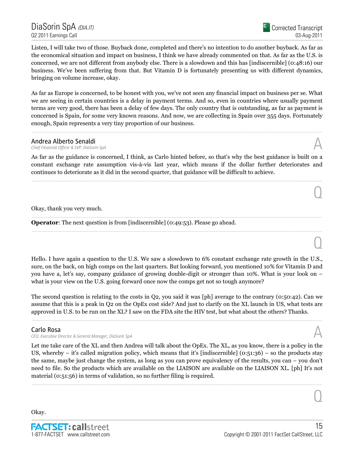Corrected Transcript 03-Aug-2011

 $\overline{0}$ 

 $\overline{0}$ 

 $\overline{O}$ 

Listen, I will take two of those. Buyback done, completed and there's no intention to do another buyback. As far as the economical situation and impact on business, I think we have already commented on that. As far as the U.S. is concerned, we are not different from anybody else. There is a slowdown and this has [indiscernible] (0:48:16) our business. We've been suffering from that. But Vitamin D is fortunately presenting us with different dynamics, bringing on volume increase, okay.

As far as Europe is concerned, to be honest with you, we've not seen any financial impact on business per se. What we are seeing in certain countries is a delay in payment terms. And so, even in countries where usually payment terms are very good, there has been a delay of few days. The only country that is outstanding, as far as payment is concerned is Spain, for some very known reasons. And now, we are collecting in Spain over 355 days. Fortunately enough, Spain represents a very tiny proportion of our business.

......................................................................................................................................................................................................................................................

# Andrea Alberto Senaldi<br>Chief Financial Officer & SVP, DiaSorin SpA

Andrea Alberto Senaldi<br>Chief Financial Officer & SVP, DiaSorin SpA  $\mathcal A$ 

As far as the guidance is concerned, I think, as Carlo hinted before, so that's why the best guidance is built on a constant exchange rate assumption vis-à-vis last year, which means if the dollar further deteriorates and continues to deteriorate as it did in the second quarter, that guidance will be difficult to achieve.

......................................................................................................................................................................................................................................................

......................................................................................................................................................................................................................................................

......................................................................................................................................................................................................................................................

Okay, thank you very much.

Operator: The next question is from [indiscernible] (0:49:53). Please go ahead.

Hello. I have again a question to the U.S. We saw a slowdown to 6% constant exchange rate growth in the U.S., sure, on the back, on high comps on the last quarters. But looking forward, you mentioned 10% for Vitamin D and you have a, let's say, company guidance of growing double-digit or stronger than 10%. What is your look on – what is your view on the U.S. going forward once now the comps get not so tough anymore?

The second question is relating to the costs in Q2, you said it was [ph] average to the contrary (0:50:42). Can we assume that this is a peak in Q2 on the OpEx cost side? And just to clarify on the XL launch in US, what tests are approved in U.S. to be run on the XL? I saw on the FDA site the HIV test, but what about the others? Thanks.

......................................................................................................................................................................................................................................................

# Carlo Rosa

CEO, Executive Director & General Manager, DiaSorin SpA

Let me take care of the XL and then Andrea will talk about the OpEx. The XL, as you know, there is a policy in the US, whereby – it's called migration policy, which means that it's [indiscernible] (0:51:36) – so the products stay the same, maybe just change the system, as long as you can prove equivalency of the results, you can – you don't need to file. So the products which are available on the LIAISON are available on the LIAISON XL. [ph] It's not material (0:51:56) in terms of validation, so no further filing is required. ......................................................................................................................................................................................................................................................

Okay.

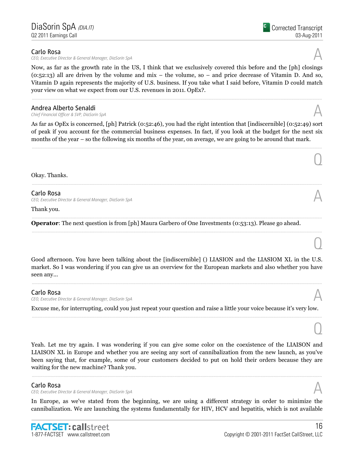### Carlo Rosa

CEO, Executive Director & General Manager, DiaSorin SpA

Now, as far as the growth rate in the US, I think that we exclusively covered this before and the [ph] closings  $(0.52:13)$  all are driven by the volume and mix – the volume, so – and price decrease of Vitamin D. And so, Vitamin D again represents the majority of U.S. business. If you take what I said before, Vitamin D could match your view on what we expect from our U.S. revenues in 2011. OpEx?.

......................................................................................................................................................................................................................................................

# **Andrea Alberto Senaldi**<br>Chief Financial Officer & SVP, DiaSorin SpA Andrea Alberto Senaldi<br>Chief Financial Officer & SVP, DiaSorin SpA  $\mathcal A$

As far as OpEx is concerned, [ph] Patrick (0:52:46), you had the right intention that [indiscernible] (0:52:49) sort of peak if you account for the commercial business expenses. In fact, if you look at the budget for the next six months of the year – so the following six months of the year, on average, we are going to be around that mark.

......................................................................................................................................................................................................................................................

......................................................................................................................................................................................................................................................

......................................................................................................................................................................................................................................................

#### Okay. Thanks.

Carlo Rosa

CEO, Executive Director & General Manager, DiaSorin SpA A

#### Thank you.

Operator: The next question is from [ph] Maura Garbero of One Investments (0:53:13). Please go ahead.

Good afternoon. You have been talking about the [indiscernible] () LIASION and the LIASIOM XL in the U.S. market. So I was wondering if you can give us an overview for the European markets and also whether you have seen any... ......................................................................................................................................................................................................................................................

### Carlo Rosa

CEO, Executive Director & General Manager, DiaSorin SpA

Excuse me, for interrupting, could you just repeat your question and raise a little your voice because it's very low. ......................................................................................................................................................................................................................................................

Yeah. Let me try again. I was wondering if you can give some color on the coexistence of the LIAISON and LIAISON XL in Europe and whether you are seeing any sort of cannibalization from the new launch, as you've been saying that, for example, some of your customers decided to put on hold their orders because they are waiting for the new machine? Thank you.

......................................................................................................................................................................................................................................................

# Carlo Rosa

CEO, Executive Director & General Manager, DiaSorin SpA

In Europe, as we've stated from the beginning, we are using a different strategy in order to minimize the cannibalization. We are launching the systems fundamentally for HIV, HCV and hepatitis, which is not available



 $\cup$ 



 $\overline{O}$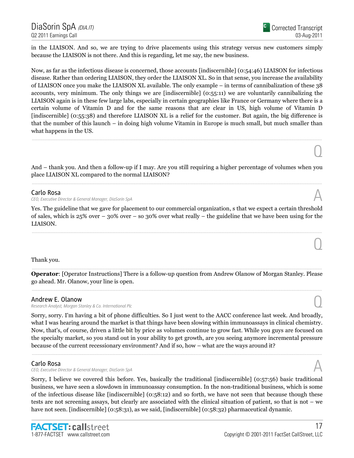in the LIAISON. And so, we are trying to drive placements using this strategy versus new customers simply because the LIAISON is not there. And this is regarding, let me say, the new business.

Now, as far as the infectious disease is concerned, those accounts [indiscernible] (0:54:46) LIAISON for infectious disease. Rather than ordering LIAISON, they order the LIAISON XL. So in that sense, you increase the availability of LIAISON once you make the LIAISON XL available. The only example – in terms of cannibalization of these 38 accounts, very minimum. The only things we are [indiscernible] (0:55:11) we are voluntarily cannibalizing the LIAISON again is in these few large labs, especially in certain geographies like France or Germany where there is a certain volume of Vitamin D and for the same reasons that are clear in US, high volume of Vitamin D [indiscernible] (0:55:38) and therefore LIAISON XL is a relief for the customer. But again, the big difference is that the number of this launch – in doing high volume Vitamin in Europe is much small, but much smaller than what happens in the US.

And – thank you. And then a follow-up if I may. Are you still requiring a higher percentage of volumes when you place LIAISON XL compared to the normal LIAISON? ......................................................................................................................................................................................................................................................

......................................................................................................................................................................................................................................................

#### Carlo Rosa

CEO, Executive Director & General Manager, DiaSorin SpA

Yes. The guideline that we gave for placement to our commercial organization, s that we expect a certain threshold of sales, which is 25% over – 30% over – so 30% over what really – the guideline that we have been using for the LIAISON. ......................................................................................................................................................................................................................................................

### Thank you.

 ...................................................................................................................................................................................................................................................... Operator: [Operator Instructions] There is a follow-up question from Andrew Olanow of Morgan Stanley. Please go ahead. Mr. Olanow, your line is open. ......................................................................................................................................................................................................................................................

### Andrew E. Olanow

Research Analyst, Morgan Stanley & Co. International Plc Q

Sorry, sorry. I'm having a bit of phone difficulties. So I just went to the AACC conference last week. And broadly, what I was hearing around the market is that things have been slowing within immunoassays in clinical chemistry. Now, that's, of course, driven a little bit by price as volumes continue to grow fast. While you guys are focused on the specialty market, so you stand out in your ability to get growth, are you seeing anymore incremental pressure because of the current recessionary environment? And if so, how – what are the ways around it?

......................................................................................................................................................................................................................................................

#### Carlo Rosa

CEO, Executive Director & General Manager, DiaSorin SpA

Sorry, I believe we covered this before. Yes, basically the traditional [indiscernible] (0:57:56) basic traditional business, we have seen a slowdown in immunoassay consumption. In the non-traditional business, which is some of the infectious disease like [indiscernible] (0:58:12) and so forth, we have not seen that because though these tests are not screening assays, but clearly are associated with the clinical situation of patient, so that is not – we have not seen. [indiscernible] (0:58:31), as we said, [indiscernible] (0:58:32) pharmaceutical dynamic.



 $\cup$ 

 $\cup$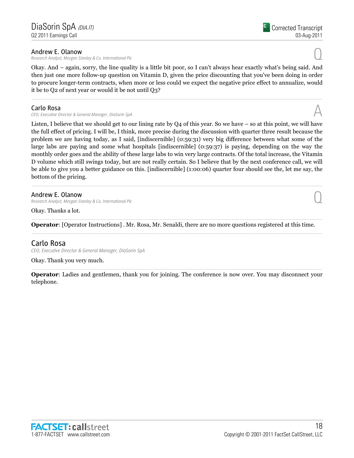#### Andrew E. Olanow

Research Analyst, Morgan Stanley & Co. International Plc Q

Okay. And – again, sorry, the line quality is a little bit poor, so I can't always hear exactly what's being said. And then just one more follow-up question on Vitamin D, given the price discounting that you've been doing in order to procure longer-term contracts, when more or less could we expect the negative price effect to annualize, would it be to Q2 of next year or would it be not until Q3?

......................................................................................................................................................................................................................................................

### Carlo Rosa

CEO, Executive Director & General Manager, DiaSorin SpA

Listen, I believe that we should get to our lining rate by Q4 of this year. So we have – so at this point, we will have the full effect of pricing. I will be, I think, more precise during the discussion with quarter three result because the problem we are having today, as I said, [indiscernible] (0:59:31) very big difference between what some of the large labs are paying and some what hospitals [indiscernible] (0:59:37) is paying, depending on the way the monthly order goes and the ability of these large labs to win very large contracts. Of the total increase, the Vitamin D volume which still swings today, but are not really certain. So I believe that by the next conference call, we will be able to give you a better guidance on this. [indiscernible] (1:00:06) quarter four should see the, let me say, the bottom of the pricing.

### Andrew E. Olanow

Research Analyst, Morgan Stanley & Co. International Plc Q

Okay. Thanks a lot.

 ...................................................................................................................................................................................................................................................... Operator: [Operator Instructions] . Mr. Rosa, Mr. Senaldi, there are no more questions registered at this time. ......................................................................................................................................................................................................................................................

# Carlo Rosa

CEO, Executive Director & General Manager, DiaSorin SpA

Okay. Thank you very much.

 ...................................................................................................................................................................................................................................................... Operator: Ladies and gentlemen, thank you for joining. The conference is now over. You may disconnect your telephone.